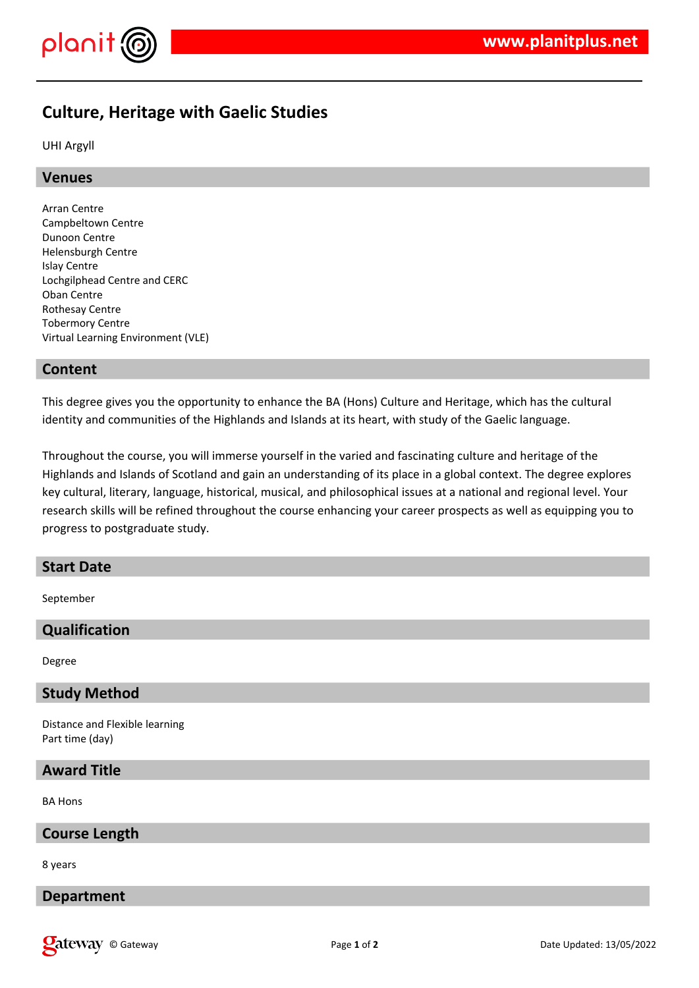

# **Culture, Heritage with Gaelic Studies**

UHI Argyll

## **Venues**

Arran Centre Campbeltown Centre Dunoon Centre Helensburgh Centre Islay Centre Lochgilphead Centre and CERC Oban Centre Rothesay Centre Tobermory Centre Virtual Learning Environment (VLE)

## **Content**

This degree gives you the opportunity to enhance the BA (Hons) Culture and Heritage, which has the cultural identity and communities of the Highlands and Islands at its heart, with study of the Gaelic language.

Throughout the course, you will immerse yourself in the varied and fascinating culture and heritage of the Highlands and Islands of Scotland and gain an understanding of its place in a global context. The degree explores key cultural, literary, language, historical, musical, and philosophical issues at a national and regional level. Your research skills will be refined throughout the course enhancing your career prospects as well as equipping you to progress to postgraduate study.

# **Start Date**

September

# **Qualification**

Degree

### **Study Method**

Distance and Flexible learning Part time (day)

## **Award Title**

BA Hons

### **Course Length**

8 years

## **Department**

**Qateway** © Gateway **Page 1** of 2 Date Updated: 13/05/2022 Date Updated: 13/05/2022